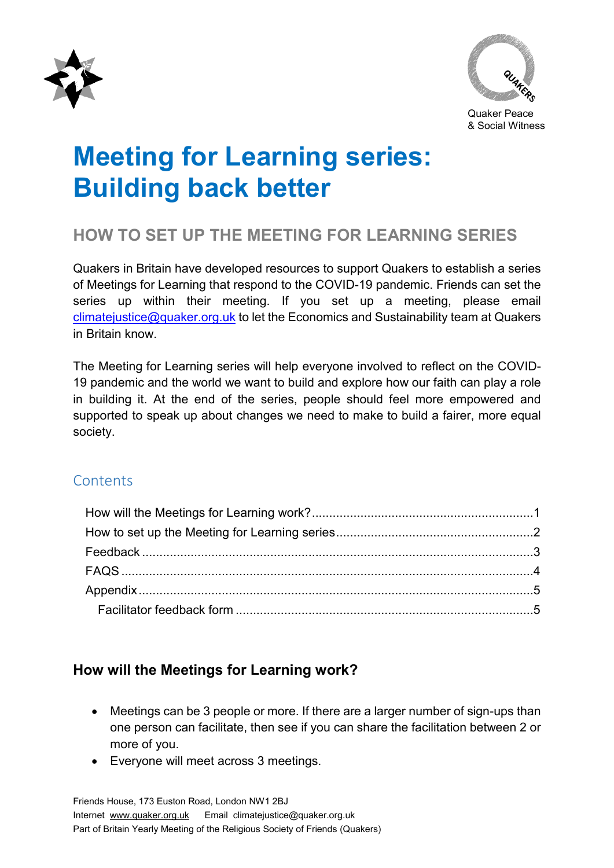



Quaker Peace & Social Witness

# **Meeting for Learning series: Building back better**

# **HOW TO SET UP THE MEETING FOR LEARNING SERIES**

Quakers in Britain have developed resources to support Quakers to establish a series of Meetings for Learning that respond to the COVID-19 pandemic. Friends can set the series up within their meeting. If you set up a meeting, please email [climatejustice@quaker.org.uk](mailto:climatejustice@quaker.org.uk) to let the Economics and Sustainability team at Quakers in Britain know.

The Meeting for Learning series will help everyone involved to reflect on the COVID-19 pandemic and the world we want to build and explore how our faith can play a role in building it. At the end of the series, people should feel more empowered and supported to speak up about changes we need to make to build a fairer, more equal society.

## **Contents**

## <span id="page-0-0"></span>**How will the Meetings for Learning work?**

- Meetings can be 3 people or more. If there are a larger number of sign-ups than one person can facilitate, then see if you can share the facilitation between 2 or more of you.
- Everyone will meet across 3 meetings.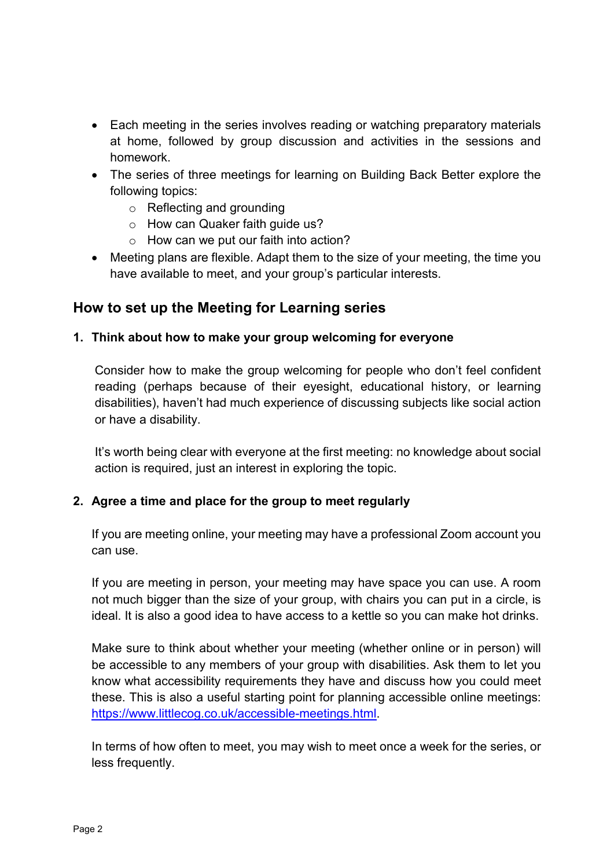- Each meeting in the series involves reading or watching preparatory materials at home, followed by group discussion and activities in the sessions and homework.
- The series of three meetings for learning on Building Back Better explore the following topics:
	- o Reflecting and grounding
	- o How can Quaker faith guide us?
	- o How can we put our faith into action?
- Meeting plans are flexible. Adapt them to the size of your meeting, the time you have available to meet, and your group's particular interests.

## <span id="page-1-0"></span>**How to set up the Meeting for Learning series**

#### **1. Think about how to make your group welcoming for everyone**

Consider how to make the group welcoming for people who don't feel confident reading (perhaps because of their eyesight, educational history, or learning disabilities), haven't had much experience of discussing subjects like social action or have a disability.

It's worth being clear with everyone at the first meeting: no knowledge about social action is required, just an interest in exploring the topic.

#### **2. Agree a time and place for the group to meet regularly**

If you are meeting online, your meeting may have a professional Zoom account you can use.

If you are meeting in person, your meeting may have space you can use. A room not much bigger than the size of your group, with chairs you can put in a circle, is ideal. It is also a good idea to have access to a kettle so you can make hot drinks.

Make sure to think about whether your meeting (whether online or in person) will be accessible to any members of your group with disabilities. Ask them to let you know what accessibility requirements they have and discuss how you could meet these. This is also a useful starting point for planning accessible online meetings: [https://www.littlecog.co.uk/accessible-meetings.html.](https://www.littlecog.co.uk/accessible-meetings.html)

In terms of how often to meet, you may wish to meet once a week for the series, or less frequently.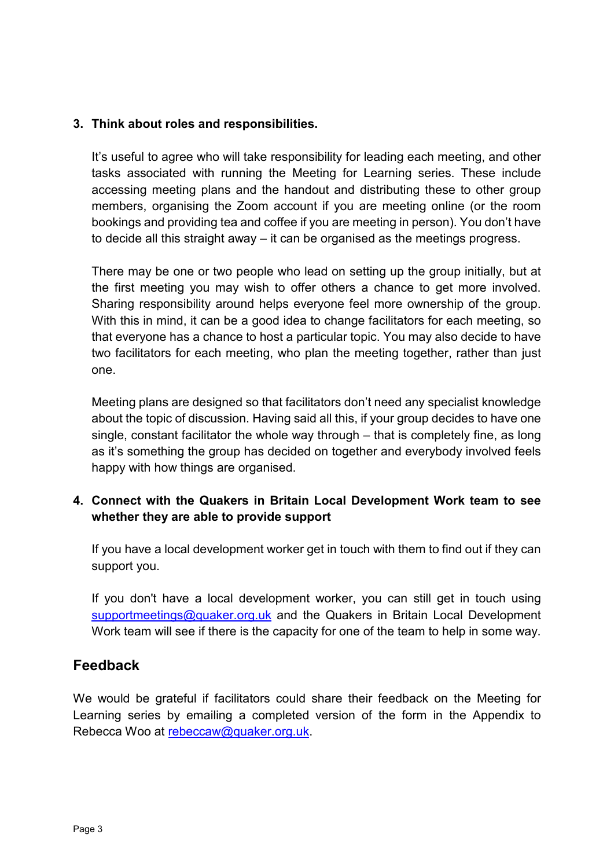#### **3. Think about roles and responsibilities.**

It's useful to agree who will take responsibility for leading each meeting, and other tasks associated with running the Meeting for Learning series. These include accessing meeting plans and the handout and distributing these to other group members, organising the Zoom account if you are meeting online (or the room bookings and providing tea and coffee if you are meeting in person). You don't have to decide all this straight away – it can be organised as the meetings progress.

There may be one or two people who lead on setting up the group initially, but at the first meeting you may wish to offer others a chance to get more involved. Sharing responsibility around helps everyone feel more ownership of the group. With this in mind, it can be a good idea to change facilitators for each meeting, so that everyone has a chance to host a particular topic. You may also decide to have two facilitators for each meeting, who plan the meeting together, rather than just one.

Meeting plans are designed so that facilitators don't need any specialist knowledge about the topic of discussion. Having said all this, if your group decides to have one single, constant facilitator the whole way through – that is completely fine, as long as it's something the group has decided on together and everybody involved feels happy with how things are organised.

#### **4. Connect with the Quakers in Britain Local Development Work team to see whether they are able to provide support**

If you have a local development worker get in touch with them to find out if they can support you.

If you don't have a local development worker, you can still get in touch using [supportmeetings@quaker.org.uk](mailto:supportmeetings@quaker.org.uk) and the Quakers in Britain Local Development Work team will see if there is the capacity for one of the team to help in some way.

### <span id="page-2-0"></span>**Feedback**

We would be grateful if facilitators could share their feedback on the Meeting for Learning series by emailing a completed version of the form in the Appendix to Rebecca Woo at [rebeccaw@quaker.org.uk.](mailto:rebeccaw@quaker.org.uk)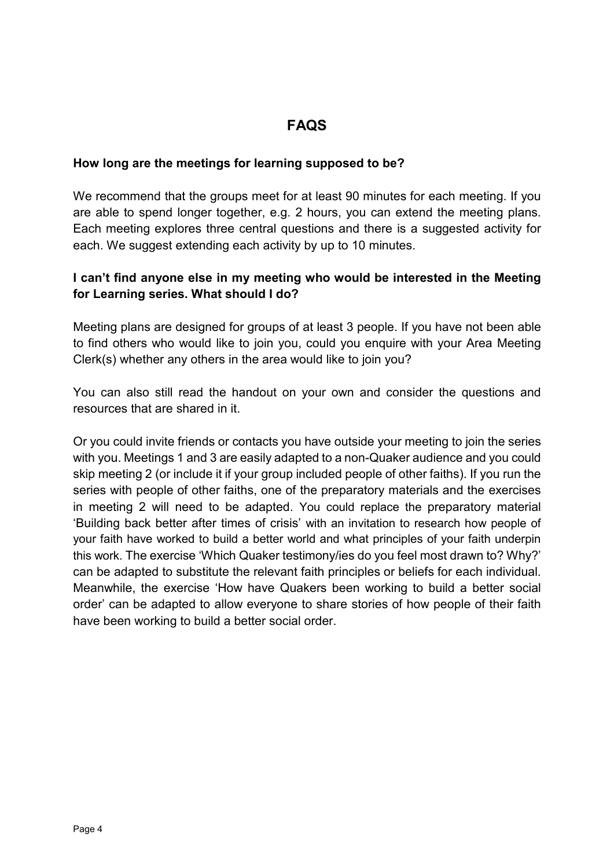# **FAQS**

#### <span id="page-3-0"></span>**How long are the meetings for learning supposed to be?**

We recommend that the groups meet for at least 90 minutes for each meeting. If you are able to spend longer together, e.g. 2 hours, you can extend the meeting plans. Each meeting explores three central questions and there is a suggested activity for each. We suggest extending each activity by up to 10 minutes.

#### **I can't find anyone else in my meeting who would be interested in the Meeting for Learning series. What should I do?**

Meeting plans are designed for groups of at least 3 people. If you have not been able to find others who would like to join you, could you enquire with your Area Meeting Clerk(s) whether any others in the area would like to join you?

You can also still read the handout on your own and consider the questions and resources that are shared in it.

Or you could invite friends or contacts you have outside your meeting to join the series with you. Meetings 1 and 3 are easily adapted to a non-Quaker audience and you could skip meeting 2 (or include it if your group included people of other faiths). If you run the series with people of other faiths, one of the preparatory materials and the exercises in meeting 2 will need to be adapted. You could replace the preparatory material 'Building back better after times of crisis' with an invitation to research how people of your faith have worked to build a better world and what principles of your faith underpin this work. The exercise 'Which Quaker testimony/ies do you feel most drawn to? Why?' can be adapted to substitute the relevant faith principles or beliefs for each individual. Meanwhile, the exercise 'How have Quakers been working to build a better social order' can be adapted to allow everyone to share stories of how people of their faith have been working to build a better social order.